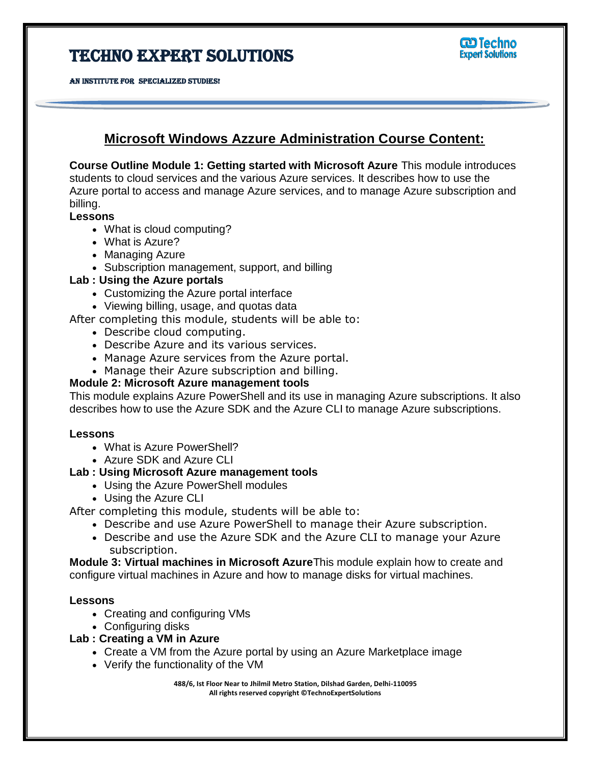# TECHNO EXPERT SOLUTIONS





# **Microsoft Windows Azzure Administration Course Content:**

Ï

**Course Outline Module 1: Getting started with Microsoft Azure** This module introduces students to cloud services and the various Azure services. It describes how to use the Azure portal to access and manage Azure services, and to manage Azure subscription and billing.

# **Lessons**

- What is cloud computing?
- What is Azure?
- Managing Azure
- Subscription management, support, and billing

# **Lab : Using the Azure portals**

- Customizing the Azure portal interface
- Viewing billing, usage, and quotas data

After completing this module, students will be able to:

- Describe cloud computing.
- Describe Azure and its various services.
- Manage Azure services from the Azure portal.
- Manage their Azure subscription and billing.

# **Module 2: Microsoft Azure management tools**

This module explains Azure PowerShell and its use in managing Azure subscriptions. It also describes how to use the Azure SDK and the Azure CLI to manage Azure subscriptions.

# **Lessons**

- What is Azure PowerShell?
- Azure SDK and Azure CLI

# **Lab : Using Microsoft Azure management tools**

- Using the Azure PowerShell modules
- Using the Azure CLI

After completing this module, students will be able to:

- Describe and use Azure PowerShell to manage their Azure subscription.
- Describe and use the Azure SDK and the Azure CLI to manage your Azure subscription.

**Module 3: Virtual machines in Microsoft Azure**This module explain how to create and configure virtual machines in Azure and how to manage disks for virtual machines.

# **Lessons**

- Creating and configuring VMs
- Configuring disks

# **Lab : Creating a VM in Azure**

- Create a VM from the Azure portal by using an Azure Marketplace image
- Verify the functionality of the VM

**488/6, Ist Floor Near to Jhilmil Metro Station, Dilshad Garden, Delhi-110095 All rights reserved copyright ©TechnoExpertSolutions**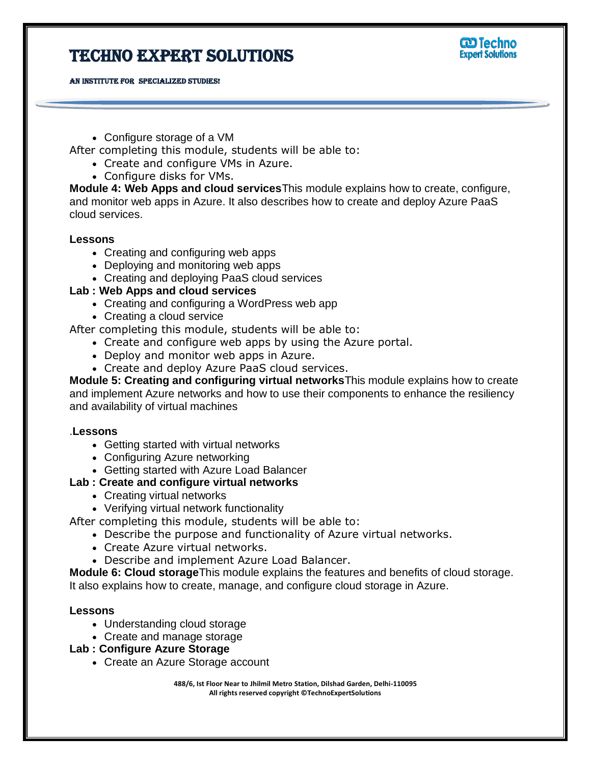# Techno Expert Solutions





Configure storage of a VM

After completing this module, students will be able to:

- Create and configure VMs in Azure.
- Configure disks for VMs.

**Module 4: Web Apps and cloud services**This module explains how to create, configure, and monitor web apps in Azure. It also describes how to create and deploy Azure PaaS cloud services.

Ï

#### **Lessons**

- Creating and configuring web apps
- Deploying and monitoring web apps
- Creating and deploying PaaS cloud services

# **Lab : Web Apps and cloud services**

- Creating and configuring a WordPress web app
- Creating a cloud service

After completing this module, students will be able to:

- Create and configure web apps by using the Azure portal.
- Deploy and monitor web apps in Azure.
- Create and deploy Azure PaaS cloud services.

**Module 5: Creating and configuring virtual networks**This module explains how to create and implement Azure networks and how to use their components to enhance the resiliency and availability of virtual machines

# .**Lessons**

- Getting started with virtual networks
- Configuring Azure networking
- Getting started with Azure Load Balancer

# **Lab : Create and configure virtual networks**

- Creating virtual networks
- Verifying virtual network functionality

After completing this module, students will be able to:

- Describe the purpose and functionality of Azure virtual networks.
- Create Azure virtual networks.
- Describe and implement Azure Load Balancer.

**Module 6: Cloud storage**This module explains the features and benefits of cloud storage. It also explains how to create, manage, and configure cloud storage in Azure.

# **Lessons**

- Understanding cloud storage
- Create and manage storage

# **Lab : Configure Azure Storage**

Create an Azure Storage account

**488/6, Ist Floor Near to Jhilmil Metro Station, Dilshad Garden, Delhi-110095 All rights reserved copyright ©TechnoExpertSolutions**